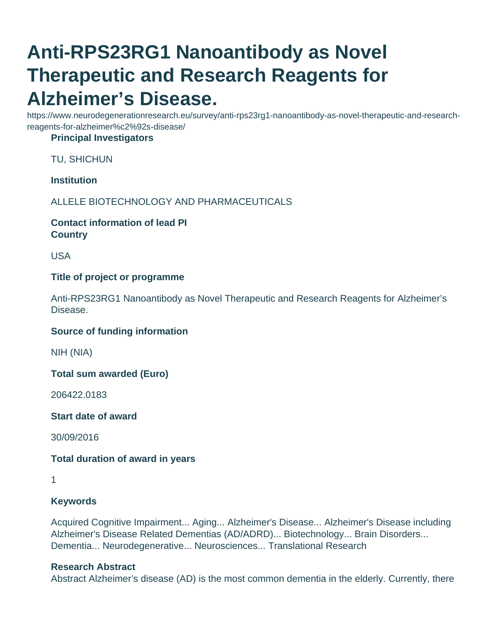# **Anti-RPS23RG1 Nanoantibody as Novel Therapeutic and Research Reagents for Alzheimer's Disease.**

https://www.neurodegenerationresearch.eu/survey/anti-rps23rg1-nanoantibody-as-novel-therapeutic-and-researchreagents-for-alzheimer%c2%92s-disease/

## **Principal Investigators**

TU, SHICHUN

## **Institution**

ALLELE BIOTECHNOLOGY AND PHARMACEUTICALS

## **Contact information of lead PI Country**

USA

## **Title of project or programme**

Anti-RPS23RG1 Nanoantibody as Novel Therapeutic and Research Reagents for Alzheimer's Disease.

#### **Source of funding information**

NIH (NIA)

**Total sum awarded (Euro)**

206422.0183

**Start date of award**

30/09/2016

## **Total duration of award in years**

## **Keywords**

Acquired Cognitive Impairment... Aging... Alzheimer's Disease... Alzheimer's Disease including Alzheimer's Disease Related Dementias (AD/ADRD)... Biotechnology... Brain Disorders... Dementia... Neurodegenerative... Neurosciences... Translational Research

#### **Research Abstract**

Abstract Alzheimer's disease (AD) is the most common dementia in the elderly. Currently, there

<sup>1</sup>